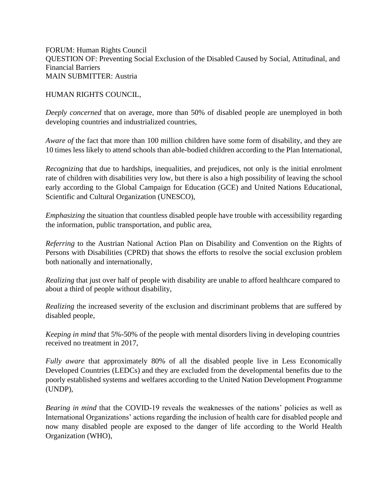FORUM: Human Rights Council QUESTION OF: Preventing Social Exclusion of the Disabled Caused by Social, Attitudinal, and Financial Barriers MAIN SUBMITTER: Austria

HUMAN RIGHTS COUNCIL,

*Deeply concerned* that on average, more than 50% of disabled people are unemployed in both developing countries and industrialized countries,

*Aware of* the fact that more than 100 million children have some form of disability, and they are 10 times less likely to attend schools than able-bodied children according to the Plan International,

*Recognizing* that due to hardships, inequalities, and prejudices, not only is the initial enrolment rate of children with disabilities very low, but there is also a high possibility of leaving the school early according to the Global Campaign for Education (GCE) and United Nations Educational, Scientific and Cultural Organization (UNESCO),

*Emphasizing* the situation that countless disabled people have trouble with accessibility regarding the information, public transportation, and public area,

*Referring* to the Austrian National Action Plan on Disability and Convention on the Rights of Persons with Disabilities (CPRD) that shows the efforts to resolve the social exclusion problem both nationally and internationally,

*Realizing* that just over half of people with disability are unable to afford healthcare compared to about a third of people without disability,

*Realizing* the increased severity of the exclusion and discriminant problems that are suffered by disabled people,

*Keeping in mind* that 5%-50% of the people with mental disorders living in developing countries received no treatment in 2017,

*Fully aware* that approximately 80% of all the disabled people live in Less Economically Developed Countries (LEDCs) and they are excluded from the developmental benefits due to the poorly established systems and welfares according to the United Nation Development Programme (UNDP),

*Bearing in mind* that the COVID-19 reveals the weaknesses of the nations' policies as well as International Organizations' actions regarding the inclusion of health care for disabled people and now many disabled people are exposed to the danger of life according to the World Health Organization (WHO),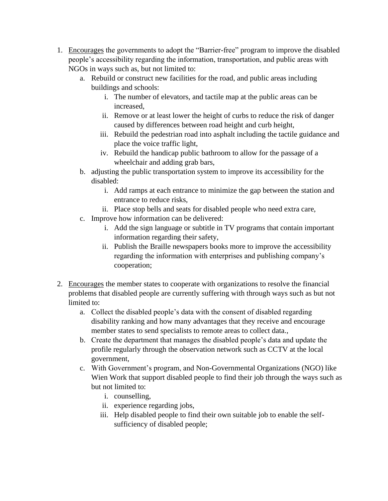- 1. Encourages the governments to adopt the "Barrier-free" program to improve the disabled people's accessibility regarding the information, transportation, and public areas with NGOs in ways such as, but not limited to:
	- a. Rebuild or construct new facilities for the road, and public areas including buildings and schools:
		- i. The number of elevators, and tactile map at the public areas can be increased,
		- ii. Remove or at least lower the height of curbs to reduce the risk of danger caused by differences between road height and curb height,
		- iii. Rebuild the pedestrian road into asphalt including the tactile guidance and place the voice traffic light,
		- iv. Rebuild the handicap public bathroom to allow for the passage of a wheelchair and adding grab bars,
	- b. adjusting the public transportation system to improve its accessibility for the disabled:
		- i. Add ramps at each entrance to minimize the gap between the station and entrance to reduce risks,
		- ii. Place stop bells and seats for disabled people who need extra care,
	- c. Improve how information can be delivered:
		- i. Add the sign language or subtitle in TV programs that contain important information regarding their safety,
		- ii. Publish the Braille newspapers books more to improve the accessibility regarding the information with enterprises and publishing company's cooperation;
- 2. Encourages the member states to cooperate with organizations to resolve the financial problems that disabled people are currently suffering with through ways such as but not limited to:
	- a. Collect the disabled people's data with the consent of disabled regarding disability ranking and how many advantages that they receive and encourage member states to send specialists to remote areas to collect data.,
	- b. Create the department that manages the disabled people's data and update the profile regularly through the observation network such as CCTV at the local government,
	- c. With Government's program, and Non-Governmental Organizations (NGO) like Wien Work that support disabled people to find their job through the ways such as but not limited to:
		- i. counselling,
		- ii. experience regarding jobs,
		- iii. Help disabled people to find their own suitable job to enable the selfsufficiency of disabled people;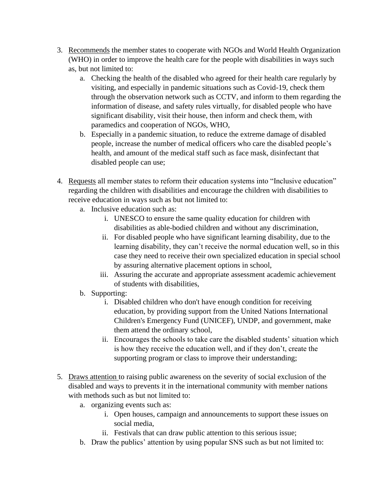- 3. Recommends the member states to cooperate with NGOs and World Health Organization (WHO) in order to improve the health care for the people with disabilities in ways such as, but not limited to:
	- a. Checking the health of the disabled who agreed for their health care regularly by visiting, and especially in pandemic situations such as Covid-19, check them through the observation network such as CCTV, and inform to them regarding the information of disease, and safety rules virtually, for disabled people who have significant disability, visit their house, then inform and check them, with paramedics and cooperation of NGOs, WHO,
	- b. Especially in a pandemic situation, to reduce the extreme damage of disabled people, increase the number of medical officers who care the disabled people's health, and amount of the medical staff such as face mask, disinfectant that disabled people can use;
- 4. Requests all member states to reform their education systems into "Inclusive education" regarding the children with disabilities and encourage the children with disabilities to receive education in ways such as but not limited to:
	- a. Inclusive education such as:
		- i. UNESCO to ensure the same quality education for children with disabilities as able-bodied children and without any discrimination,
		- ii. For disabled people who have significant learning disability, due to the learning disability, they can't receive the normal education well, so in this case they need to receive their own specialized education in special school by assuring alternative placement options in school,
		- iii. Assuring the accurate and appropriate assessment academic achievement of students with disabilities,
	- b. Supporting:
		- i. Disabled children who don't have enough condition for receiving education, by providing support from the United Nations International Children's Emergency Fund (UNICEF), UNDP, and government, make them attend the ordinary school,
		- ii. Encourages the schools to take care the disabled students' situation which is how they receive the education well, and if they don't, create the supporting program or class to improve their understanding;
- 5. Draws attention to raising public awareness on the severity of social exclusion of the disabled and ways to prevents it in the international community with member nations with methods such as but not limited to:
	- a. organizing events such as:
		- i. Open houses, campaign and announcements to support these issues on social media,
		- ii. Festivals that can draw public attention to this serious issue;
	- b. Draw the publics' attention by using popular SNS such as but not limited to: